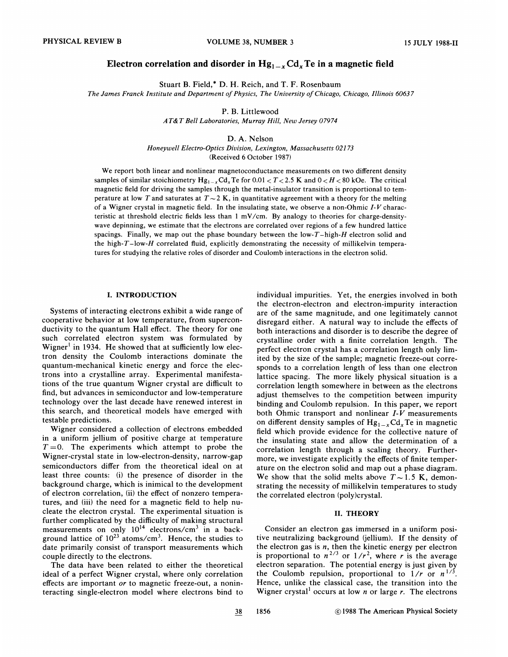# Electron correlation and disorder in  $Hg_{1-x}Cd_xTe$  in a magnetic field

Stuart B. Field,\* D. H. Reich, and T. F. Rosenbaum

The James Franck Institute and Department of Physics, The University of Chicago, Chicago, Illinois 60637

P. B. Littlewood

AT&T Bell Laboratories, Murray Hill, New Jersey 07974

D. A. Nelson

Honeywell Electro-Optics Diuision, Lexington, Massachusetts 021 73 (Received 6 October 1987)

We report both linear and nonlinear magnetoconductance measurements on two different density samples of similar stoichiometry  $Hg_{1-x}Cd_xTe$  for 0.01  $T < 2.5$  K and 0  $H < 80$  kOe. The critical magnetic field for driving the samples through the metal-insulator transition is proportional to temperature at low T and saturates at  $T \sim 2$  K, in quantitative agreement with a theory for the melting of a Wigner crystal in magnetic field. In the insulating state, we observe a non-Ohmic  $I-V$  characteristic at threshold electric fields less than <sup>1</sup> mV/cm. By analogy to theories for charge-densitywave depinning, we estimate that the electrons are correlated over regions of a few hundred lattice spacings. Finally, we map out the phase boundary between the low- $T$ -high- $H$  electron solid and the high- $T$ -low-H correlated fluid, explicitly demonstrating the necessity of millikelvin tempera-

tures for studying the relative roles of disorder and Coulomb interactions in the electron solid.

## I. INTRODUCTION

Systems of interacting electrons exhibit a wide range of cooperative behavior at low temperature, from superconductivity to the quantum Hall effect. The theory for one such correlated electron system was formulated by Wigner<sup>1</sup> in 1934. He showed that at sufficiently low electron density the Coulomb interactions dominate the quantum-mechanical kinetic energy and force the electrons into a crystalline array. Experimental manifestations of the true quantum Wigner crystal are difficult to find, but advances in semiconductor and low-temperature technology over the last decade have renewed interest in this search, and theoretical models have emerged with testable predictions.

Wigner considered a collection of electrons embedded in a uniform jellium of positive charge at temperature  $T=0$ . The experiments which attempt to probe the Wigner-crystal state in low-electron-density, narrow-gap semiconductors differ from the theoretical ideal on at least three counts: (i) the presence of disorder in the background charge, which is inimical to the development of electron correlation, (ii) the effect of nonzero temperatures, and (iii) the need for a magnetic field to help nucleate the electron crystal. The experimental situation is further complicated by the difficulty of making structural measurements on only  $10^{14}$  electrons/cm<sup>3</sup> in a background lattice of  $10^{23}$  atoms/cm<sup>3</sup>. Hence, the studies to date primarily consist of transport measurements which couple directly to the electrons.

The data have been related to either the theoretical ideal of a perfect Wigner crystal, where only correlation effects are important or to magnetic freeze-out, a noninteracting single-electron model where electrons bind to

individual impurities. Yet, the energies involved in both the electron-electron and electron-impurity interaction are of the same magnitude, and one legitimately cannot disregard either. A natural way to include the effects of both interactions and disorder is to describe the degree of crystalline order with a finite correlation length. The perfect electron crystal has a correlation length only limited by the size of the sample; magnetic freeze-out corresponds to a correlation length of less than one electron lattice spacing. The more likely physical situation is a correlation length somewhere in between as the electrons adjust themselves to the competition between impurity binding and Coulomb repulsion. In this paper, we report both Ohmic transport and nonlinear  $I-V$  measurements on different density samples of  $Hg_{1-x}Cd_xTe$  in magnetic field which provide evidence for the collective nature of the insulating state and allow the determination of a correlation length through a scaling theory. Furthermore, we investigate explicitly the effects of finite temperature on the electron solid and map out a phase diagram. We show that the solid melts above  $T \sim 1.5$  K, demonstrating the necessity of millikelvin temperatures to study the correlated electron (poly)crystal.

# II. THEORY

Consider an electron gas immersed in a uniform positive neutralizing background (jellium). If the density of the electron gas is  $n$ , then the kinetic energy per electron is proportional to  $n^{2/3}$  or  $1/r^2$ , where r is the average electron separation. The potential energy is just given by the Coulomb repulsion, proportional to  $1/r$  or  $n^{1/3}$ . Hence, unlike the classical case, the transition into the Wigner crystal<sup>1</sup> occurs at low *n* or large *r*. The electrons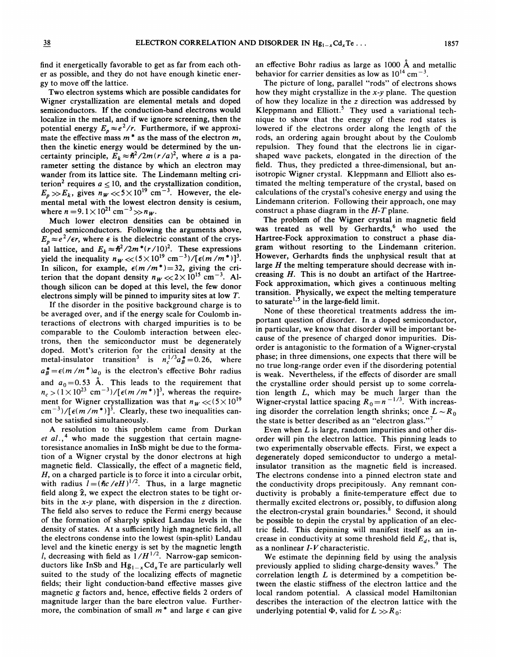find it energetically favorable to get as far from each other as possible, and they do not have enough kinetic energy to move off the lattice.

Two electron systems which are possible candidates for Wigner crystallization are elemental metals and doped semiconductors. If the conduction-band electrons would localize in the metal, and if we ignore screening, then the potential energy  $E_p \approx e^2/r$ . Furthermore, if we approximate the effective mass  $m^*$  as the mass of the electron  $m_i$ then the kinetic energy would be determined by the uncertainty principle,  $E_k \approx \hbar^2/2m(r/a)^2$ , where a is a parameter setting the distance by which an electron may wander from its lattice site. The Lindemann melting criterion<sup>2</sup> requires  $a < 10$ , and the crystallization condition,  $E_p \gg E_k$ , gives  $n_W \ll 5 \times 10^{19}$  cm<sup>-3</sup>. However, the elemental metal with the lowest electron density is cesium where  $n = 9.1 \times 10^{21}$  cm<sup>-3</sup> $> n_W$ .

Much lower electron densities can be obtained in doped semiconductors. Following the arguments above,  $E_n \approx e^2/\epsilon r$ , where  $\epsilon$  is the dielectric constant of the crystal lattice, and  $E_k \approx \hbar^2 / 2m^* (r/10)^2$ . These expressions yield the inequality  $n_W \ll (5 \times 10^{19} \text{ cm}^{-3})/[\epsilon (m/m^*)]^3$ . In silicon, for example,  $\epsilon(m/m^*)=32$ , giving the criterion that the dopant density  $n_{W} \ll 2 \times 10^{15}$  cm<sup>-3</sup>. Although silicon can be doped at this level, the few donor electrons simply will be pinned to impurity sites at low T.

If the disorder in the positive background charge is to be averaged over, and if the energy scale for Coulomb interactions of electrons with charged impurities is to be comparable to the Coulomb interaction between electrons, then the semiconductor must be degenerately doped. Mott's criterion for the critical density at the above the contract transition in the critical density at the metal-insulator transition<sup>3</sup> is  $n_c^{1/3} a_B^* = 0.26$ , where  $a_B^* = \epsilon(m/m^*)a_0$  is the electron's effective Bohr radius and  $a_0 = 0.53$  Å. This leads to the requirement that and  $a_0 = 0.53$  A. This leads to the requirement that  $n_c > (1 \times 10^{23} \text{ cm}^{-3})/[\epsilon(m/m^*)]^3$ , whereas the require ment for Wigner crystallization was that  $n_w \ll (5 \times 10^{19}$  $\text{cm}^{-3}$ /[ $\epsilon$ (m/m<sup>\*</sup>)]<sup>3</sup>. Clearly, these two inequalities cannot be satisfied simultaneously.

A resolution to this problem came from Durkan et  $al.$ ,<sup>4</sup> who made the suggestion that certain magnetoresistance anomalies in InSb might be due to the formation of a Wigner crystal by the donor electrons at high magnetic field. Classically, the effect of a magnetic field, H, on a charged particle is to force it into a circular orbit, with radius  $l = (\hbar c / eH)^{1/2}$ . Thus, in a large magnetic field along  $\hat{z}$ , we expect the electron states to be tight orbits in the x-y plane, with dispersion in the z direction. The field also serves to reduce the Fermi energy because of the formation of sharply spiked Landau levels in the density of states. At a sufficiently high magnetic field, all the electrons condense into the lowest (spin-split) Landau level and the kinetic energy is set by the magnetic length l, decreasing with field as  $1/H^{1/2}$ . Narrow-gap semiconductors like InSb and  $Hg_{1-x}Cd_xTe$  are particularly well suited to the study of the localizing effects of magnetic fields; their light conduction-band effective masses give magnetic g factors and, hence, effective fields 2 orders of magnitude larger than the bare electron value. Furthermore, the combination of small  $m^*$  and large  $\epsilon$  can give

an effective Bohr radius as large as 1000  $\AA$  and metalli behavior for carrier densities as low as  $10^{14}$  cm<sup>-3</sup>.

The picture of long, parallel "rods" of electrons shows how they might crystallize in the  $x-y$  plane. The question of how they localize in the z direction was addressed by Kleppmann and Elliott.<sup>5</sup> They used a variational technique to show that the energy of these rod states is lowered if the electrons order along the length of the rods, an ordering again brought about by the Coulomb repulsion. They found that the electrons lie in cigarshaped wave packets, elongated in the direction of the field. Thus, they predicted a three-dimensional, but anisotropic Wigner crystal. Kleppmann and Elliott also estimated the melting temperature of the crystal, based on calculations of the crystal's cohesive energy and using the Lindemann criterion. Following their approach, one may construct a phase diagram in the  $H$ -T plane.

The problem of the Wigner crystal in magnetic field was treated as well by Gerhardts,<sup>6</sup> who used the Hartree-Fock approximation to construct a phase diagram without resorting to the Lindemann criterion. However, Gerhardts finds the unphysical result that at large  $H$  the melting temperature should decrease with increasing  $H$ . This is no doubt an artifact of the Hartree-Fock approximation, which gives a continuous melting transition. Physically, we expect the melting temperature to saturate<sup>1,5</sup> in the large-field limit.

None of these theoretical treatments address the important question of disorder. In a doped semiconductor, in particular, we know that disorder will be important because of the presence of charged donor impurities. Disorder is antagonistic to the formation of a Wigner-crystal phase; in three dimensions, one expects that there will be no true long-range order even if the disordering potential is weak. Nevertheless, if the effects of disorder are small the crystalline order should persist up to some correlation length L, which may be much larger than the Wigner-crystal lattice spacing  $R_0 = n^{-1/3}$ . With increas ing disorder the correlation length shrinks; once  $L \sim R_0$ the state is better described as an "electron glass."<sup>7</sup>

Even when  $L$  is large, random impurities and other disorder will pin the electron lattice. This pinning leads to two experimentally observable effects. First, we expect a degenerately doped semiconductor to undergo a metalinsulator transition as the magnetic field is increased. The electrons condense into a pinned electron state and the conductivity drops precipitously. Any remnant conductivity is probably a finite-temperature effect due to thermally excited electrons or, possibly, to diffusion along the electron-crystal grain boundaries.<sup>8</sup> Second, it should be possible to depin the crystal by application of an electric field. This depinning will manifest itself as an increase in conductivity at some threshold field  $E_d$ , that is, as a nonlinear I-V characteristic.

We estimate the depinning field by using the analysis previously applied to sliding charge-density waves.<sup>9</sup> The correlation length  $L$  is determined by a competition between the elastic stiffness of the electron lattice and the local random potential. A classical model Hamiltonian describes the interaction of the electron lattice with the underlying potential  $\Phi$ , valid for  $L \gg R_0$ .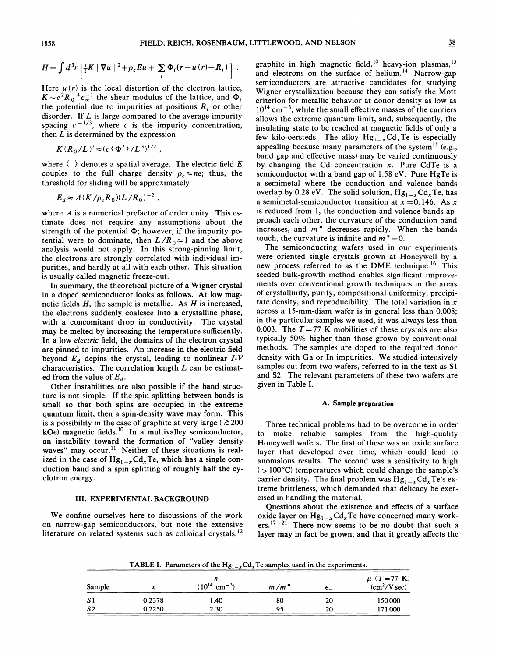$$
H = \int d^3r \left[ \frac{1}{2} K \mid \nabla u \mid ^2 + \rho_c E u + \sum_i \Phi_i (r - u(r) - R_i) \right].
$$

Here  $u(r)$  is the local distortion of the electron lattice,  $K \sim e^2 R_0^{-4} \epsilon_{\infty}^{-1}$  the shear modulus of the lattice, and  $\Phi_i$ the potential due to impurities at positions  $R_i$  or other disorder. If  $L$  is large compared to the average impurity spacing  $c^{-1/3}$ , where c is the impurity concentration, then  $L$  is determined by the expression

$$
K(R_0/L)^2 \approx (c \langle \Phi^2 \rangle / L^3)^{1/2} ,
$$

where  $\langle \rangle$  denotes a spatial average. The electric field E couples to the full charge density  $\rho_c \approx ne$ ; thus, the threshold for sliding will be approximately

$$
E_d \approx A(K/\rho_c R_0)(L/R_0)^{-2}
$$

where  $A$  is a numerical prefactor of order unity. This estimate does not require any assumptions about the strength of the potential  $\Phi$ ; however, if the impurity potential were to dominate, then  $L/R_0 \approx 1$  and the above analysis would not apply. In this strong-pinning limit, the electrons are strongly correlated with individual impurities, and hardly at all with each other. This situation is usually called magnetic freeze-out.

In summary, the theoretical picture of a Wigner crystal in a doped semiconductor looks as follows. At low magnetic fields  $H$ , the sample is metallic. As  $H$  is increased, the electrons suddenly coalesce into a crystalline phase, with a concomitant drop in conductivity. The crystal may be melted by increasing the temperature sufficiently. In a low electric field, the domains of the electron crystal are pinned to impurities. An increase in the electric field beyond  $E_d$  depins the crystal, leading to nonlinear  $I-V$ characteristics. The correlation length  $L$  can be estimated from the value of  $E_d$ .

Other instabilities are also possible if the band structure is not simple. If the spin splitting between bands is small so that both spins are occupied in the extreme quantum limit, then a spin-density wave may form. This is a possibility in the case of graphite at very large ( $\geq 200$  $kOe$ ) magnetic fields.<sup>10</sup> In a multivalley semiconductor an instability toward the formation of "valley densit<br>waves" may occur.<sup>11</sup> Neither of these situations is real waves" may occur.<sup>11</sup> Neither of these situations is realized in the case of  $Hg_{1-x}Cd_xTe$ , which has a single conduction band and a spin splitting of roughly half the cyclotron energy.

## III. EXPERIMENTAL BACKGROUND

We confine ourselves here to discussions of the work on narrow-gap semiconductors, but note the extensive literature on related systems such as colloidal crystals,<sup>12</sup>

graphite in high magnetic field, <sup>10</sup> heavy-ion plasmas, <sup>1</sup> and electrons on the surface of helium.<sup>14</sup> Narrow-gap semiconductors are attractive candidates for studying Wigner crystallization because they can satisfy the Mott criterion for metallic behavior at donor density as low as  $10^{14}$  cm<sup>-3</sup>, while the small effective masses of the carriers allows the extreme quantum limit, and, subsequently, the insulating state to be reached at magnetic fields of only a few kilo-oersteds. The alloy  $Hg_{1-x}Cd_xTe$  is especially appealing because many parameters of the system<sup>15</sup> (e.g., band gap and effective mass) may be varied continuously by changing the Cd concentration  $x$ . Pure CdTe is a semiconductor with a band gap of  $1.58$  eV. Pure HgTe is a semimetal where the conduction and valence bands overlap by 0.28 eV. The solid solution,  $Hg_{1-x}Cd_xTe$ , has a semimetal-semiconductor transition at  $x = 0.146$ . As x is reduced from 1, the conduction and valence bands approach each other, the curvature of the conduction band increases, and  $m^*$  decreases rapidly. When the bands touch, the curvature is infinite and  $m^* = 0$ .

The semiconducting wafers used in our experiments were oriented single crystals grown at Honeywell by a new process referred to as the DME technique.<sup>16</sup> This seeded bulk-growth method enables significant improvements over conventional growth techniques in the areas of crystallinity, purity, compositional uniformity, precipitate density, and reproducibility. The total variation in  $x$ across a 15-mm-diam wafer is in general less than 0.008; in the particular samples we used, it was always less than 0.003. The  $T=77$  K mobilities of these crystals are also typically 50% higher than those grown by conventional methods. The samples are doped to the required donor density with Ga or In impurities. We studied intensively samples cut from two wafers, referred to in the text as S1 and S2. The relevant parameters of these two wafers are given in Table I.

### A. Sample preparation

Three technical problems had to be overcome in order to make reliable samples from the high-quality Honeywell wafers. The first of these was an oxide surface layer that developed over time, which could lead to anomalous results. The second was a sensitivity to high  $($  > 100 °C) temperatures which could change the sample's carrier density. The final problem was  $Hg_{1-x}Cd_xTe's$  extreme brittleness, which demanded that delicacy be exercised in handling the material.

Questions about the existence and effects of a surface oxide layer on  $Hg_{1-x}Cd_xTe$  have concerned many workers.  $17-21$  There now seems to be no doubt that such a layer may in fact be grown, and that it greatly affects the

TABLE I. Parameters of the  $Hg_{1-x}Cd_xTe$  samples used in the experiments.

|                | . .<br>. . |                             |                    |                                  |                                   |
|----------------|------------|-----------------------------|--------------------|----------------------------------|-----------------------------------|
| Sample         | x          | $(10^{14} \text{ cm}^{-3})$ | $m/m$ <sup>*</sup> | $\boldsymbol{\epsilon}_{\infty}$ | $\mu$ (T=77 K)<br>$(cm^2/V \sec)$ |
| S <sub>1</sub> | 0.2378     | 1.40                        | 80                 | 20                               | 150000                            |
| S <sub>2</sub> | 0.2250     | 2.30                        | 95                 | 20                               | 171000                            |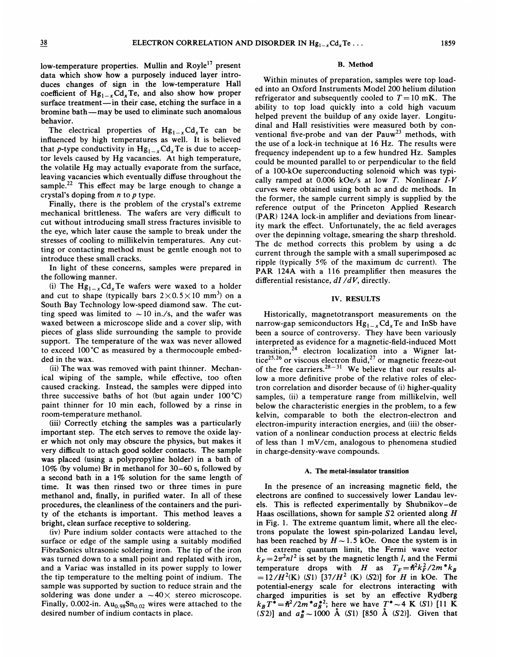low-temperature properties. Mullin and Royle<sup>17</sup> present data which show how a purposely induced layer introduces changes of sign in the low-temperature Hall coefficient of  $Hg_{1-x}Cd_xTe$ , and also show how proper surface treatment—in their case, etching the surface in a bromine bath —may be used to eliminate such anomalous behavior.

The electrical properties of  $Hg_{1-x}Cd_xTe$  can be influenced by high temperatures as well. It is believed that p-type conductivity in  $Hg_{1-x}Cd_xTe$  is due to acceptor levels caused by Hg vacancies. At high temperature, the volatile Hg may actually evaporate from the surface, leaving vacancies which eventually diffuse throughout the sample.<sup>22</sup> This effect may be large enough to change a crystal's doping from <sup>n</sup> to p type.

Finally, there is the problem of the crystal's extreme mechanical brittleness. The wafers are very difficult to cut without introducing small stress fractures invisible to the eye, which later cause the sample to break under the stresses of cooling to millikelvin temperatures. Any cutting or contacting method must be gentle enough not to introduce these small cracks.

In light of these concerns, samples were prepared in the following manner.

(i) The  $Hg_{1-x}Cd_xTe$  wafers were waxed to a holder and cut to shape (typically bars  $2\times0.5\times10$  mm<sup>3</sup>) on a South Bay Technology low-speed diamond saw. The cutting speed was limited to  $\sim$  10 in./s, and the wafer was waxed between a microscope slide and a cover slip, with pieces of glass slide surrounding the sample to provide support. The temperature of the wax was never allowed to exceed 100'C as measured by a thermocouple embedded in the wax.

(ii) The wax was removed with paint thinner. Mechanical wiping of the sample, while effective, too often caused cracking. Instead, the samples were dipped into three successive baths of hot (but again under 100'C) paint thinner for 10 min each, followed by a rinse in room-temperature methanol.

(iii) Correctly etching the samples was a particularly important step. The etch serves to remove the oxide layer which not only may obscure the physics, but makes it very difficult to attach good solder contacts. The sample was placed (using a polypropyline holder) in a bath of 10% (by volume) Br in methanol for 30—60 s, followed by a second bath in a 1% solution for the same length of time. It was then rinsed two or three times in pure methanol and, finally, in purified water. In all of these procedures, the cleanliness of the containers and the purity of the etchants is important. This method leaves a bright, clean surface receptive to soldering.

(iv) Pure indium solder contacts were attached to the surface or edge of the sample using a suitably modified FibraSonics ultrasonic soldering iron. The tip of the iron was turned down to a small point and replated with iron, and a Variac was installed in its power supply to lower the tip temperature to the melting point of indium. The sample was supported by suction to reduce strain and the soldering was done under a  $\sim$  40 $\times$  stereo microscope. Finally, 0.002-in.  $Au_{0.98}Sn_{0.02}$  wires were attached to the desired number of indium contacts in place.

## B. Method

Within minutes of preparation, samples were top loaded into an Oxford Instruments Model 200 helium dilution refrigerator and subsequently cooled to  $T=10$  mK. The ability to top load quickly into a cold high vacuum helped prevent the buildup of any oxide layer. Longitudinal and Hall resistivities were measured both by conventional five-probe and van der  $Pauw<sup>23</sup>$  methods, with the use of a lock-in technique at 16 Hz. The results were frequency independent up to a few hundred Hz. Samples could be mounted parallel to or perpendicular to the field of a 100-kOe superconducting solenoid which was typically ramped at 0.006 kOe/s at low T. Nonlinear  $I-V$ curves were obtained using both ac and dc methods. In the former, the sample current simply is supplied by the reference output of the Princeton Applied Research (PAR) 124A lock-in amplifier and deviations from linearity mark the effect. Unfortunately, the ac field averages over the depinning voltage, smearing the sharp threshold. The dc method corrects this problem by using a dc current through the sample with a small superimposed ac ripple (typically 5% of the maximum dc current). The PAR 124A with a 116 preamplifier then measures the differential resistance,  $dI/dV$ , directly.

## IV. RESULTS

Historically, magnetotransport measurements on the narrow-gap semiconductors  $Hg_{1-x}Cd_xTe$  and InSb have been a source of controversy. They have been variously interpreted as evidence for a magnetic-field-induced Mott transition,  $24$  electron localization into a Wigner lattice<sup>25,26</sup> or viscous electron fluid,<sup>27</sup> or magnetic freeze-ou of the free carriers.  $28-31$  We believe that our results allow a more definitive probe of the relative roles of electron correlation and disorder because of (i) higher-quality samples, (ii) a temperature range from millikelvin, well below the characteristic energies in the problem, to a few kelvin, comparable to both the electron-electron and electron-impurity interaction energies, and (iii) the observation of a nonlinear conduction process at electric fields of less than <sup>1</sup> mV/cm, analogous to phenomena studied in charge-density-wave compounds.

### A. The metal-insulator transition

In the presence of an increasing magnetic field, the electrons are confined to successively lower Landau levels. This is reflected experimentally by Shubnikov —de Haas oscillations, shown for sample  $S2$  oriented along  $H$ in Fig. 1. The extreme quantum limit, where all the electrons populate the lowest spin-polarized Landau level, has been reached by  $H \sim 1.5$  kOe. Once the system is in the extreme quantum limit, the Fermi wave vector  $k_F = 2\pi^2 n l^2$  is set by the magnetic length *l*, and the Fermi temperature drops with H as  $T_F = \frac{\hbar^2 k_F^2}{2m^* k_B}$  $=12/H^{2}(K)$  (S1) [37/H<sup>2</sup> (K) (S2)] for H in kOe. The potential-energy scale for electrons interacting with charged impurities is set by an effective Rydberg charged imputations is set by an energy exploring  $k_B T^* = \hbar^2 / 2m^* a_B^*^2$ ; here we have  $T^* \sim 4$  K (S1) [11 K (S2)] and  $a_B^* \sim 1000$  Å (S1) [850 Å (S2)]. Given that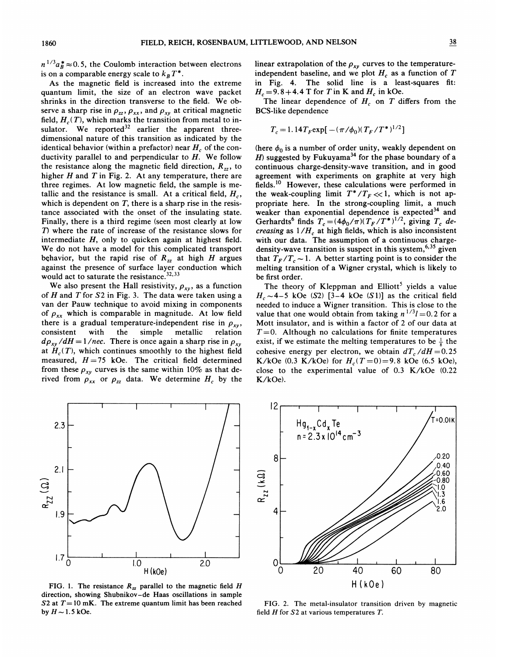$n^{1/3}a_B^* \approx 0.5$ , the Coulomb interaction between electrons is on a comparable energy scale to  $k_B T^*$ .

As the magnetic field is increased into the extreme quantum limit, the size of an electron wave packet shrinks in the direction transverse to the field. We observe a sharp rise in  $\rho_{zz}$ ,  $\rho_{xx}$ , and  $\rho_{xy}$  at critical magnetic field,  $H_c(T)$ , which marks the transition from metal to insulator. We reported<sup>32</sup> earlier the apparent three dimensional nature of this transition as indicated by the identical behavior (within a prefactor) near  $H_c$  of the conductivity parallel to and perpendicular to  $H$ . We follow the resistance along the magnetic field direction,  $R_{zz}$ , to higher  $H$  and  $T$  in Fig. 2. At any temperature, there are three regimes. At low magnetic field, the sample is metallic and the resistance is small. At a critical field,  $H_c$ , which is dependent on  $T$ , there is a sharp rise in the resistance associated with the onset of the insulating state. Finally, there is a third regime (seen most clearly at low T) where the rate of increase of the resistance slows for intermediate H, only to quicken again at highest field. We do not have a model for this complicated transport behavior, but the rapid rise of  $R_{zz}$  at high H argues against the presence of surface layer conduction which would act to saturate the resistance.

We also present the Hall resistivity,  $\rho_{xy}$ , as a function of  $H$  and  $T$  for  $S2$  in Fig. 3. The data were taken using a van der Pauw technique to avoid mixing in components of  $\rho_{xx}$  which is comparable in magnitude. At low field there is a gradual temperature-independent rise in  $\rho_{xy}$ , consistent with the simple metallic relation simple metallic relation  $d\rho_{xy}/dH = 1/nec$ . There is once again a sharp rise in  $\rho_{xy}$ at  $H_c(T)$ , which continues smoothly to the highest field measured,  $H=75$  kOe. The critical field determined from these  $\rho_{xy}$  curves is the same within 10% as that derived from  $\rho_{xx}$  or  $\rho_{zz}$  data. We determine  $H_c$  by the linear extrapolation of the  $\rho_{xy}$  curves to the temperatureindependent baseline, and we plot  $H_c$  as a function of T in Fig. 4. The solid line is a least-squares fit:  $H_c = 9.8 + 4.4$  T for T in K and  $H_c$  in kOe.

The linear dependence of  $H_c$  on T differs from the BCS-like dependence

$$
T_c = 1.14 T_F \exp[-(\pi/\phi_0)(T_F/T^*)^{1/2}]
$$

(here  $\phi_0$  is a number of order unity, weakly dependent on H) suggested by Fukuyama<sup>34</sup> for the phase boundary of a continuous charge-density-wave transition, and in good agreement with experiments on graphite at very high fields.<sup>10</sup> However, these calculations were performed in the weak-coupling limit  $T^*/T_F \ll 1$ , which is not appropriate here. In the strong-coupling limit, a much weaker than exponential dependence is expected $34$  and Gerhardts<sup>6</sup> finds  $T_c = (4\phi_0/\pi)(T_F/T^*)^{1/2}$ , giving  $T_c$  de *creasing* as  $1/H_c$  at high fields, which is also inconsister with our data. The assumption of a continuous chargedensity-wave transition is suspect in this system,  $6,35$  given that  $T_F/T_c \sim 1$ . A better starting point is to consider the melting transition of a Wigner crystal, which is likely to be first order.

The theory of Kleppman and Elliott<sup>5</sup> yields a value  $H_c \sim 4-5$  kOe (S2) [3-4 kOe (S1)] as the critical field needed to induce a Wigner transition. This is close to the 'value that one would obtain from taking  $n^{1/3}l = 0.2$  for a Mott insulator, and is within a factor of 2 of our data at  $T=0$ . Although no calculations for finite temperatures exist, if we estimate the melting temperatures to be  $\frac{1}{8}$  the cohesive energy per electron, we obtain  $dT_c/dH = 0.25$ K/kOe (0.3 K/kOe) for  $H_c(T=0) = 9.8$  kOe (6.5 kOe), close to the experimental value of 0.3 K/kOe (0.22 K/kOe).



FIG. 1. The resistance  $R_{zz}$  parallel to the magnetic field H direction, showing Shubnikov —de Haas oscillations in sample S2 at  $T=10$  mK. The extreme quantum limit has been reached by  $H \sim 1.5$  kOe.



FIG. 2. The metal-insulator transition driven by magnetic field  $H$  for  $S2$  at various temperatures  $T$ .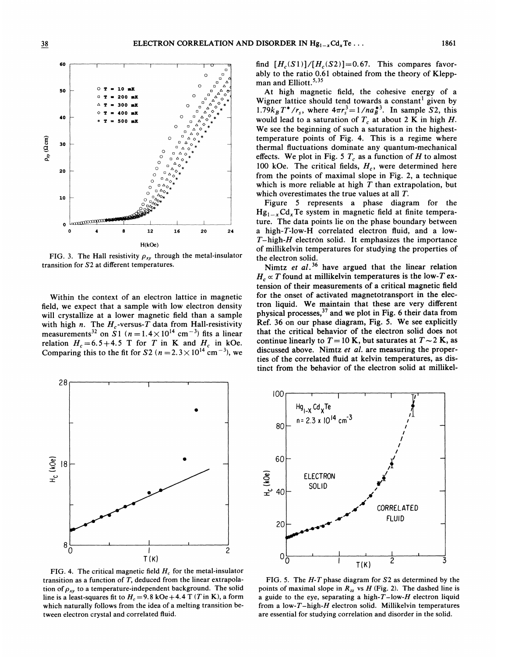

FIG. 3. The Hall resistivity  $\rho_{xy}$  through the metal-insulator transition for S2 at different temperatures.

Within the context of an electron lattice in magnetic field, we expect that a sample with low electron density will crystallize at a lower magnetic field than a sample with high n. The  $H_c$ -versus-T data from Hall-resistivity measurements<sup>32</sup> on S1 ( $n = 1.4 \times 10^{14}$  cm<sup>-3</sup>) fits a linear relation  $H_c = 6.5 + 4.5$  T for T in K and  $H_c$  in kOe. Comparing this to the fit for S2 ( $n = 2.3 \times 10^{14}$  cm<sup>-3</sup>), we



FIG. 4. The critical magnetic field  $H_c$  for the metal-insulator transition as a function of  $T$ , deduced from the linear extrapolation of  $\rho_{xy}$  to a temperature-independent background. The solid line is a least-squares fit to  $H_c = 9.8 \text{ kOe} + 4.4 \text{ T}$  (T in K), a form which naturally follows from the idea of a melting transition between electron crystal and correlated fluid.

find  $[H_c(S1)]/[H_c(S2)] = 0.67$ . This compares favorably to the ratio 0.6l obtained from the theory of Kleppman and Elliott. $5,35$ 

At high magnetic field, the cohesive energy of a Wigner lattice should tend towards a constant' given by 1.79 $k_B T^*/r_s$ , where  $4\pi r_s^3 = 1/na_B^{*3}$ . In sample S2, this would lead to a saturation of  $T_c$  at about 2 K in high H. We see the beginning of such a saturation in the highesttemperature points of Fig. 4, This is a regime where thermal fluctuations dominate any quantum-mechanical effects. We plot in Fig. 5  $T_c$  as a function of H to almost 100 kOe. The critical fields,  $H_c$ , were determined here from the points of maximal slope in Fig. 2, a technique which is more reliable at high  $T$  than extrapolation, but which overestimates the true values at all T.

Figure 5 represents a phase diagram for the  $Hg_{1-x}Cd_{x}Te$  system in magnetic field at finite temperature. The data points lie on the phase boundary between a high-T-low-H correlated electron fluid, and a low- $T$ -high- $H$  electron solid. It emphasizes the importance of millikelvin temperatures for studying the properties of the electron solid.

Nimtz et  $al.^{36}$  have argued that the linear relation  $H_c \propto T$  found at millikelvin temperatures is the low-T extension of their measurements of a critical magnetic field for the onset of activated magnetotransport in the electron liquid. We maintain that these are very different physical processes,  $37$  and we plot in Fig. 6 their data from Ref. 36 on our phase diagram, Fig. 5. We see explicitly that the critical behavior of the electron solid does not continue linearly to  $T = 10$  K, but saturates at  $T \sim 2$  K, as discussed above. Nimtz et al. are measuring the properties of the correlated fluid at kelvin temperatures, as distinct from the behavior of the electron solid at millikel-



FIG. 5. The  $H$ -T phase diagram for  $S2$  as determined by the points of maximal slope in  $R_{zz}$  vs  $H$  (Fig. 2). The dashed line is a guide to the eye, separating a high- $T$ -low- $H$  electron liquid from a low-T-high- $H$  electron solid. Millikelvin temperatures are essential for studying correlation and disorder in the solid.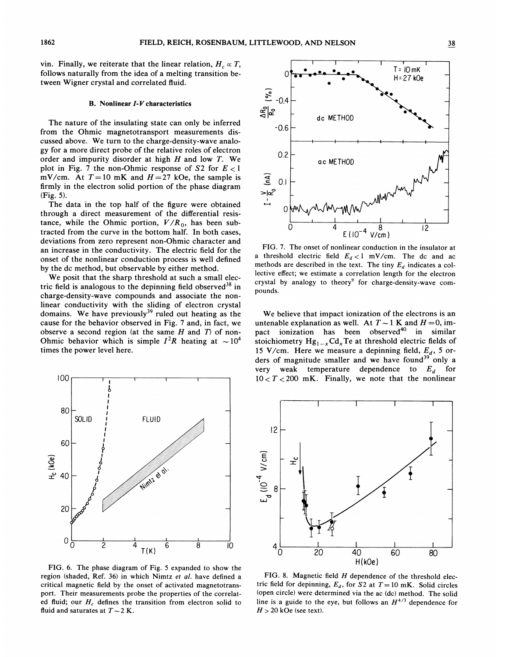vin. Finally, we reiterate that the linear relation,  $H_c \propto T$ , follows naturally from the idea of a melting transition between Wigner crystal and correlated fluid.

#### B. Nonlinear I-V characteristics

The nature of the insulating state can only be inferred from the Ohmic magnetotransport measurements discussed above. We turn to the charge-density-wave analogy for a more direct probe of the relative roles of electron order and impurity disorder at high  $H$  and low  $T$ . We plot in Fig. 7 the non-Ohmic response of  $S2$  for  $E < 1$ mV/cm. At  $T=10$  mK and  $H=27$  kOe, the sample is firmly in the electron solid portion of the phase diagram (Fig. 5).

The data in the top half of the figure were obtained through a direct measurement of the differential resistance, while the Ohmic portion,  $V/R_0$ , has been subtracted from the curve in the bottom half. In both cases, deviations from zero represent non-Ohmic character and an increase in the conductivity. The electric field for the onset of the nonlinear conduction process is well defined by the dc method, but observable by either method.

We posit that the sharp threshold at such a small electric field is analogous to the depinning field observed<sup>38</sup> in charge-density-wave compounds and associate the nonlinear conductivity with the sliding of electron crystal domains. We have previously<sup>39</sup> ruled out heating as the cause for the behavior observed in Fig. 7 and, in fact, we observe a second region (at the same  $H$  and  $T$ ) of non-Ohmic behavior which is simple  $I^2R$  heating at  $\sim 10^4$ times the power level here.



FIG. 6. The phase diagram of Fig. <sup>5</sup> expanded to show the region (shaded, Ref. 36) in which Nimtz et al. have defined a critical magnetic field by the onset of activated magnetotransport. Their measurements probe the properties of the correlated fluid; our  $H_c$  defines the transition from electron solid to fluid and saturates at  $T \sim 2$  K.



FIG. 7. The onset of nonlinear conduction in the insulator at a threshold electric field  $E_d < 1$  mV/cm. The dc and ac methods are described in the text. The tiny  $E_d$  indicates a collective effect; we estimate a correlation length for the electron crystal by analogy to theory<sup>9</sup> for charge-density-wave compounds.

We believe that impact ionization of the electrons is an untenable explanation as well. At  $T \sim 1$  K and  $H = 0$ , impact ionization has been observed<sup>40</sup> in similar stoichiometry  $Hg_{1-x}Cd_xTe$  at threshold electric fields of 15 V/cm. Here we measure a depinning field,  $E_d$ , 5 orders of magnitude smaller and we have found<sup>39</sup> only a very weak temperature dependence to  $E_d$  for  $10 < T < 200$  mK. Finally, we note that the nonlinear



FIG. 8. Magnetic field  $H$  dependence of the threshold electric field for depinning,  $E_d$ , for S2 at  $T=10$  mK. Solid circles (open circle) were determined via the ac (dc) method. The solid line is a guide to the eye, but follows an  $H^{4/3}$  dependence for  $H > 20$  kOe (see text).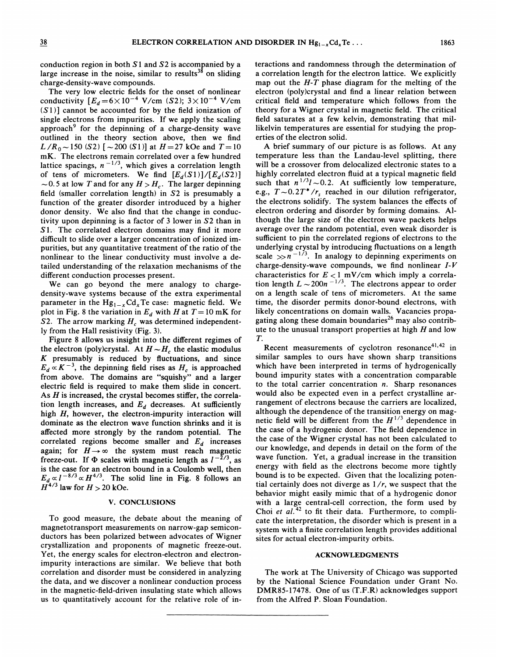conduction region in both  $S1$  and  $S2$  is accompanied by a large increase in the noise, similar to results $^{38}$  on sliding charge-density-wave compounds.

The very low electric fields for the onset of nonlinear conductivity  $[E_d = 6 \times 10^{-4} \text{ V/cm } (S2); 3 \times 10^{-4} \text{ V/cm }$  $(S1)$ ] cannot be accounted for by the field ionization of single electrons from impurities. If we apply the scaling approach<sup>9</sup> for the depinning of a charge-density wave outlined in the theory section above, then we find  $L/R_0 \sim 150$  (S2) [ $\sim$  200 (S1)] at  $H = 27$  kOe and  $T = 10$  $mK$ . The electrons remain correlated over a few hundred lattice spacings,  $n^{-1/3}$ , which gives a correlation length of tens of micrometers. We find  $[E_d(S1)]/[E_d(S2)]$ <br>  $\sim$  0.5 at low T and for any  $H > H_c$ . The larger depinning field (smaller correlation length) in S2 is presumably a function of the greater disorder introduced by a higher donor density. We also find that the change in conductivity upon depinning is a factor of 3 lower in S2 than in S1. The correlated electron domains may find it more difficult to slide over a larger concentration of ionized impurities, but any quantitative treatment of the ratio of the nonlinear to the linear conductivity must involve a detailed understanding of the relaxation mechanisms of the different conduction processes present.

We can go beyond the mere analogy to chargedensity-wave systems because of the extra experimental parameter in the  $Hg_{1-x}Cd_xTe$  case: magnetic field. We plot in Fig. 8 the variation in  $E_d$  with H at  $T=10$  mK for S2. The arrow marking  $H_c$  was determined independently from the Hall resistivity (Fig. 3).

Figure 8 allows us insight into the different regimes of the electron (poly)crystal. At  $H \sim H_c$  the elastic modulus  $K$  presumably is reduced by fluctuations, and since  $E_d \propto K^{-3}$ , the depinning field rises as  $H_c$  is approached from above. The domains are "squishy" and a large electric field is required to make them slide in concert. As  $H$  is increased, the crystal becomes stiffer, the correlation length increases, and  $E_d$  decreases. At sufficiently high  $H$ , however, the electron-impurity interaction will dominate as the electron wave function shrinks and it is affected more strongly by the random potential. The correlated regions become smaller and  $E_d$  increases again; for  $H \rightarrow \infty$  the system must reach magnetic freeze-out. If  $\Phi$  scales with magnetic length as  $I^{-2/3}$ , as is the case for an electron bound in a Coulomb well, then  $E_d \propto l^{-8/3} \propto H^{4/3}$ . The solid line in Fig. 8 follows an  $H^{4/3}$  law for  $H > 20$  kOe.

## V. CONCLUSIONS

To good measure, the debate about the meaning of magnetotransport measurements on narrow-gap semiconductors has been polarized between advocates of Wigner crystallization and proponents of magnetic freeze-out. Yet, the energy scales for electron-electron and electronimpurity interactions are similar. We believe that both correlation and disorder must be considered in analyzing the data, and we discover a nonlinear conduction process in the magnetic-field-driven insulating state which allows us to quantitatively account for the relative role of interactions and randomness through the determination of a correlation length for the electron lattice. We explicitly map out the  $H - T$  phase diagram for the melting of the electron (poly)crystal and find a linear relation between critical field and temperature which follows from the theory for a Wigner crystal in magnetic field. The critical field saturates at a few kelvin, demonstrating that millikelvin temperatures are essential for studying the properties of the electron solid.

A brief summary of our picture is as follows. At any temperature less than the Landau-level splitting, there will be a crossover from delocalized electronic states to a highly correlated electron fluid at a typical magnetic field such that  $n^{1/3}l \sim 0.2$ . At sufficiently low temperature, e.g.,  $T \sim 0.2T^*/r_s$  reached in our dilution refrigerator, the electrons solidify. The system balances the effects of electron ordering and disorder by forming domains. Although the large size of the electron wave packets helps average over the random potential, even weak disorder is sufficient to pin the correlated regions of electrons to the underlying crystal by introducing fluctuations on a length scale  $\gg n^{-1/3}$ . In analogy to depinning experiments on charge-density-wave compounds, we find nonlinear  $I-V$ characteristics for  $E < 1$  mV/cm which imply a correlation length  $L \sim 200n^{-1/3}$ . The electrons appear to order on a length scale of tens of micrometers. At the same time, the disorder permits donor-bound electrons, with likely concentrations on domain walls. Vacancies propagating along these domain boundaries<sup>26</sup> may also contrib ute to the unusual transport properties at high  $H$  and low T.

Recent measurements of cyclotron resonance<sup>41,42</sup> in similar samples to ours have shown sharp transitions which have been interpreted in terms of hydrogenically bound impurity states with a concentration comparable to the total carrier concentration  $n$ . Sharp resonances would also be expected even in a perfect crystalline arrangement of electrons because the carriers are localized, although the dependence of the transition energy on magnetic field will be different from the  $H^{1/3}$  dependence in the case of a hydrogenic donor. The field dependence in the case of the Wigner crystal has not been calculated to our knowledge, and depends in detail on the form of the wave function. Yet, a gradual increase in the transition energy with field as the electrons become more tightly bound is to be expected. Given that the localizing potential certainly does not diverge as  $1/r$ , we suspect that the behavior might easily mimic that of a hydrogenic donor with a large central-cell correction, the form used by Choi et  $al.$ <sup>42</sup> to fit their data. Furthermore, to complicate the interpretation, the disorder which is present in a system with a finite correlation length provides additional sites for actual electron-impurity orbits.

### ACKNOWLEDGMENTS

The work at The University of Chicago was supported by the National Science Foundation under Grant No. DMR85-17478. One of us (T.F.R) acknowledges support from the Alfred P. Sloan Foundation.